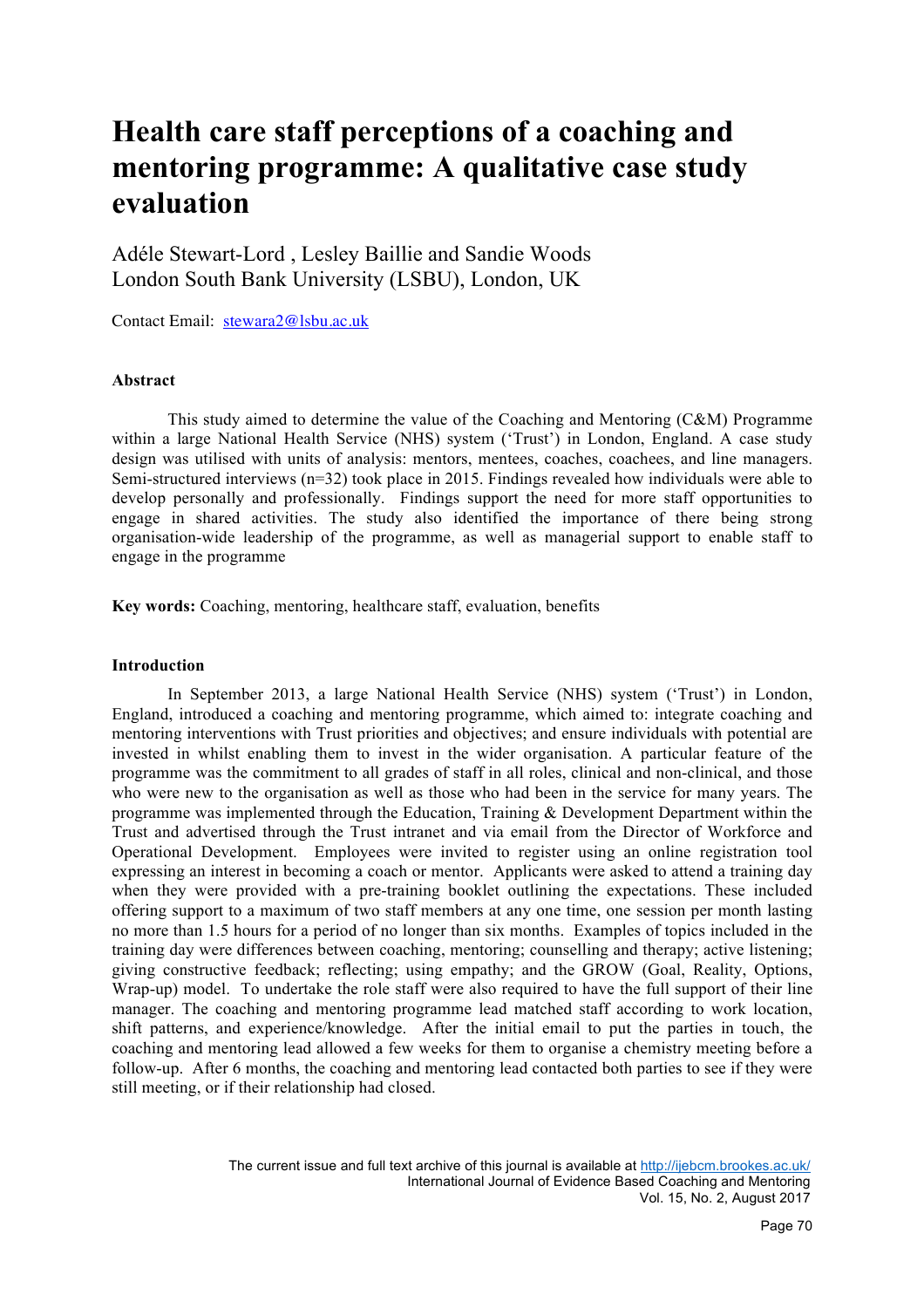# **Health care staff perceptions of a coaching and mentoring programme: A qualitative case study evaluation**

Adéle Stewart-Lord , Lesley Baillie and Sandie Woods London South Bank University (LSBU), London, UK

Contact Email: stewara2@lsbu.ac.uk

## **Abstract**

This study aimed to determine the value of the Coaching and Mentoring (C&M) Programme within a large National Health Service (NHS) system ('Trust') in London, England. A case study design was utilised with units of analysis: mentors, mentees, coaches, coachees, and line managers. Semi-structured interviews (n=32) took place in 2015. Findings revealed how individuals were able to develop personally and professionally. Findings support the need for more staff opportunities to engage in shared activities. The study also identified the importance of there being strong organisation-wide leadership of the programme, as well as managerial support to enable staff to engage in the programme

**Key words:** Coaching, mentoring, healthcare staff, evaluation, benefits

#### **Introduction**

In September 2013, a large National Health Service (NHS) system ('Trust') in London, England, introduced a coaching and mentoring programme, which aimed to: integrate coaching and mentoring interventions with Trust priorities and objectives; and ensure individuals with potential are invested in whilst enabling them to invest in the wider organisation. A particular feature of the programme was the commitment to all grades of staff in all roles, clinical and non-clinical, and those who were new to the organisation as well as those who had been in the service for many years. The programme was implemented through the Education, Training & Development Department within the Trust and advertised through the Trust intranet and via email from the Director of Workforce and Operational Development. Employees were invited to register using an online registration tool expressing an interest in becoming a coach or mentor. Applicants were asked to attend a training day when they were provided with a pre-training booklet outlining the expectations. These included offering support to a maximum of two staff members at any one time, one session per month lasting no more than 1.5 hours for a period of no longer than six months. Examples of topics included in the training day were differences between coaching, mentoring; counselling and therapy; active listening; giving constructive feedback; reflecting; using empathy; and the GROW (Goal, Reality, Options, Wrap-up) model. To undertake the role staff were also required to have the full support of their line manager. The coaching and mentoring programme lead matched staff according to work location, shift patterns, and experience/knowledge. After the initial email to put the parties in touch, the coaching and mentoring lead allowed a few weeks for them to organise a chemistry meeting before a follow-up. After 6 months, the coaching and mentoring lead contacted both parties to see if they were still meeting, or if their relationship had closed.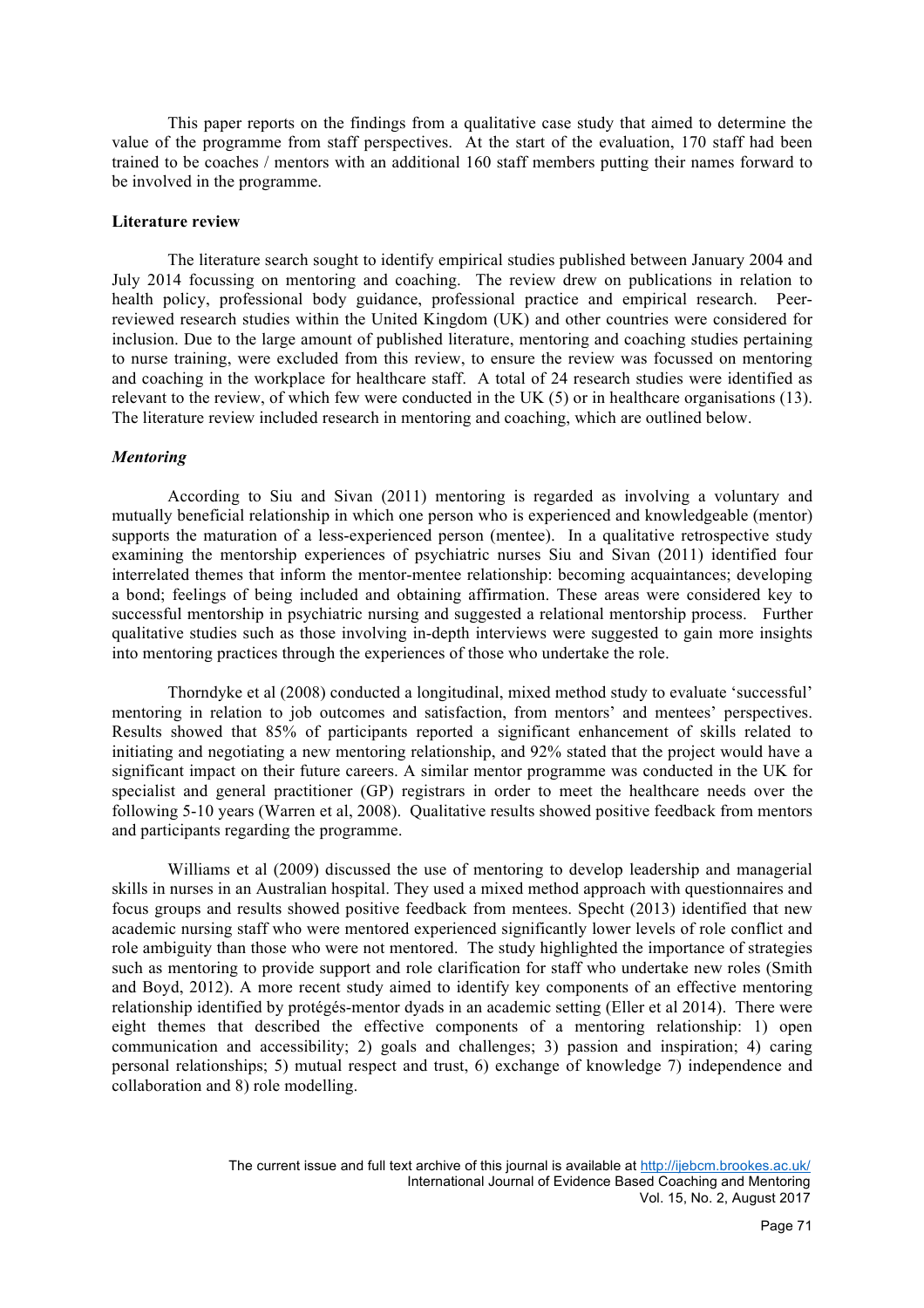This paper reports on the findings from a qualitative case study that aimed to determine the value of the programme from staff perspectives. At the start of the evaluation, 170 staff had been trained to be coaches / mentors with an additional 160 staff members putting their names forward to be involved in the programme.

## **Literature review**

The literature search sought to identify empirical studies published between January 2004 and July 2014 focussing on mentoring and coaching. The review drew on publications in relation to health policy, professional body guidance, professional practice and empirical research. Peerreviewed research studies within the United Kingdom (UK) and other countries were considered for inclusion. Due to the large amount of published literature, mentoring and coaching studies pertaining to nurse training, were excluded from this review, to ensure the review was focussed on mentoring and coaching in the workplace for healthcare staff. A total of 24 research studies were identified as relevant to the review, of which few were conducted in the UK (5) or in healthcare organisations (13). The literature review included research in mentoring and coaching, which are outlined below.

## *Mentoring*

According to Siu and Sivan (2011) mentoring is regarded as involving a voluntary and mutually beneficial relationship in which one person who is experienced and knowledgeable (mentor) supports the maturation of a less-experienced person (mentee). In a qualitative retrospective study examining the mentorship experiences of psychiatric nurses Siu and Sivan (2011) identified four interrelated themes that inform the mentor-mentee relationship: becoming acquaintances; developing a bond; feelings of being included and obtaining affirmation. These areas were considered key to successful mentorship in psychiatric nursing and suggested a relational mentorship process. Further qualitative studies such as those involving in-depth interviews were suggested to gain more insights into mentoring practices through the experiences of those who undertake the role.

Thorndyke et al (2008) conducted a longitudinal, mixed method study to evaluate 'successful' mentoring in relation to job outcomes and satisfaction, from mentors' and mentees' perspectives. Results showed that 85% of participants reported a significant enhancement of skills related to initiating and negotiating a new mentoring relationship, and 92% stated that the project would have a significant impact on their future careers. A similar mentor programme was conducted in the UK for specialist and general practitioner (GP) registrars in order to meet the healthcare needs over the following 5-10 years (Warren et al, 2008). Qualitative results showed positive feedback from mentors and participants regarding the programme.

Williams et al (2009) discussed the use of mentoring to develop leadership and managerial skills in nurses in an Australian hospital. They used a mixed method approach with questionnaires and focus groups and results showed positive feedback from mentees. Specht (2013) identified that new academic nursing staff who were mentored experienced significantly lower levels of role conflict and role ambiguity than those who were not mentored. The study highlighted the importance of strategies such as mentoring to provide support and role clarification for staff who undertake new roles (Smith and Boyd, 2012). A more recent study aimed to identify key components of an effective mentoring relationship identified by protégés-mentor dyads in an academic setting (Eller et al 2014). There were eight themes that described the effective components of a mentoring relationship: 1) open communication and accessibility; 2) goals and challenges; 3) passion and inspiration; 4) caring personal relationships; 5) mutual respect and trust, 6) exchange of knowledge 7) independence and collaboration and 8) role modelling.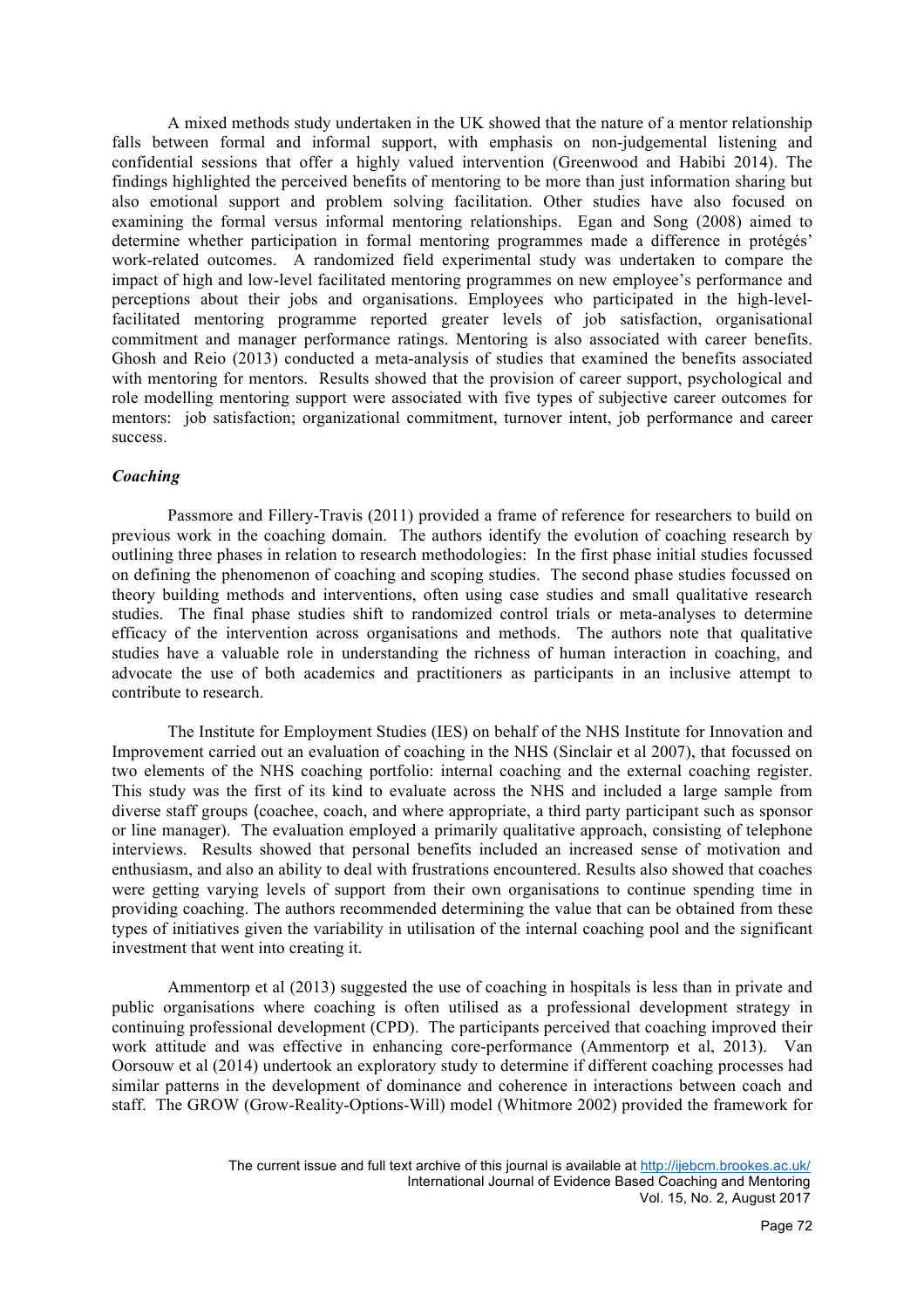A mixed methods study undertaken in the UK showed that the nature of a mentor relationship falls between formal and informal support, with emphasis on non-judgemental listening and confidential sessions that offer a highly valued intervention (Greenwood and Habibi 2014). The findings highlighted the perceived benefits of mentoring to be more than just information sharing but also emotional support and problem solving facilitation. Other studies have also focused on examining the formal versus informal mentoring relationships. Egan and Song (2008) aimed to determine whether participation in formal mentoring programmes made a difference in protégés' work-related outcomes. A randomized field experimental study was undertaken to compare the impact of high and low-level facilitated mentoring programmes on new employee's performance and perceptions about their jobs and organisations. Employees who participated in the high-levelfacilitated mentoring programme reported greater levels of job satisfaction, organisational commitment and manager performance ratings. Mentoring is also associated with career benefits. Ghosh and Reio (2013) conducted a meta-analysis of studies that examined the benefits associated with mentoring for mentors. Results showed that the provision of career support, psychological and role modelling mentoring support were associated with five types of subjective career outcomes for mentors: job satisfaction; organizational commitment, turnover intent, job performance and career success.

## *Coaching*

Passmore and Fillery-Travis (2011) provided a frame of reference for researchers to build on previous work in the coaching domain. The authors identify the evolution of coaching research by outlining three phases in relation to research methodologies: In the first phase initial studies focussed on defining the phenomenon of coaching and scoping studies. The second phase studies focussed on theory building methods and interventions, often using case studies and small qualitative research studies. The final phase studies shift to randomized control trials or meta-analyses to determine efficacy of the intervention across organisations and methods. The authors note that qualitative studies have a valuable role in understanding the richness of human interaction in coaching, and advocate the use of both academics and practitioners as participants in an inclusive attempt to contribute to research.

The Institute for Employment Studies (IES) on behalf of the NHS Institute for Innovation and Improvement carried out an evaluation of coaching in the NHS (Sinclair et al 2007), that focussed on two elements of the NHS coaching portfolio: internal coaching and the external coaching register. This study was the first of its kind to evaluate across the NHS and included a large sample from diverse staff groups (coachee, coach, and where appropriate, a third party participant such as sponsor or line manager). The evaluation employed a primarily qualitative approach, consisting of telephone interviews. Results showed that personal benefits included an increased sense of motivation and enthusiasm, and also an ability to deal with frustrations encountered. Results also showed that coaches were getting varying levels of support from their own organisations to continue spending time in providing coaching. The authors recommended determining the value that can be obtained from these types of initiatives given the variability in utilisation of the internal coaching pool and the significant investment that went into creating it.

Ammentorp et al (2013) suggested the use of coaching in hospitals is less than in private and public organisations where coaching is often utilised as a professional development strategy in continuing professional development (CPD). The participants perceived that coaching improved their work attitude and was effective in enhancing core-performance (Ammentorp et al, 2013). Van Oorsouw et al (2014) undertook an exploratory study to determine if different coaching processes had similar patterns in the development of dominance and coherence in interactions between coach and staff. The GROW (Grow-Reality-Options-Will) model (Whitmore 2002) provided the framework for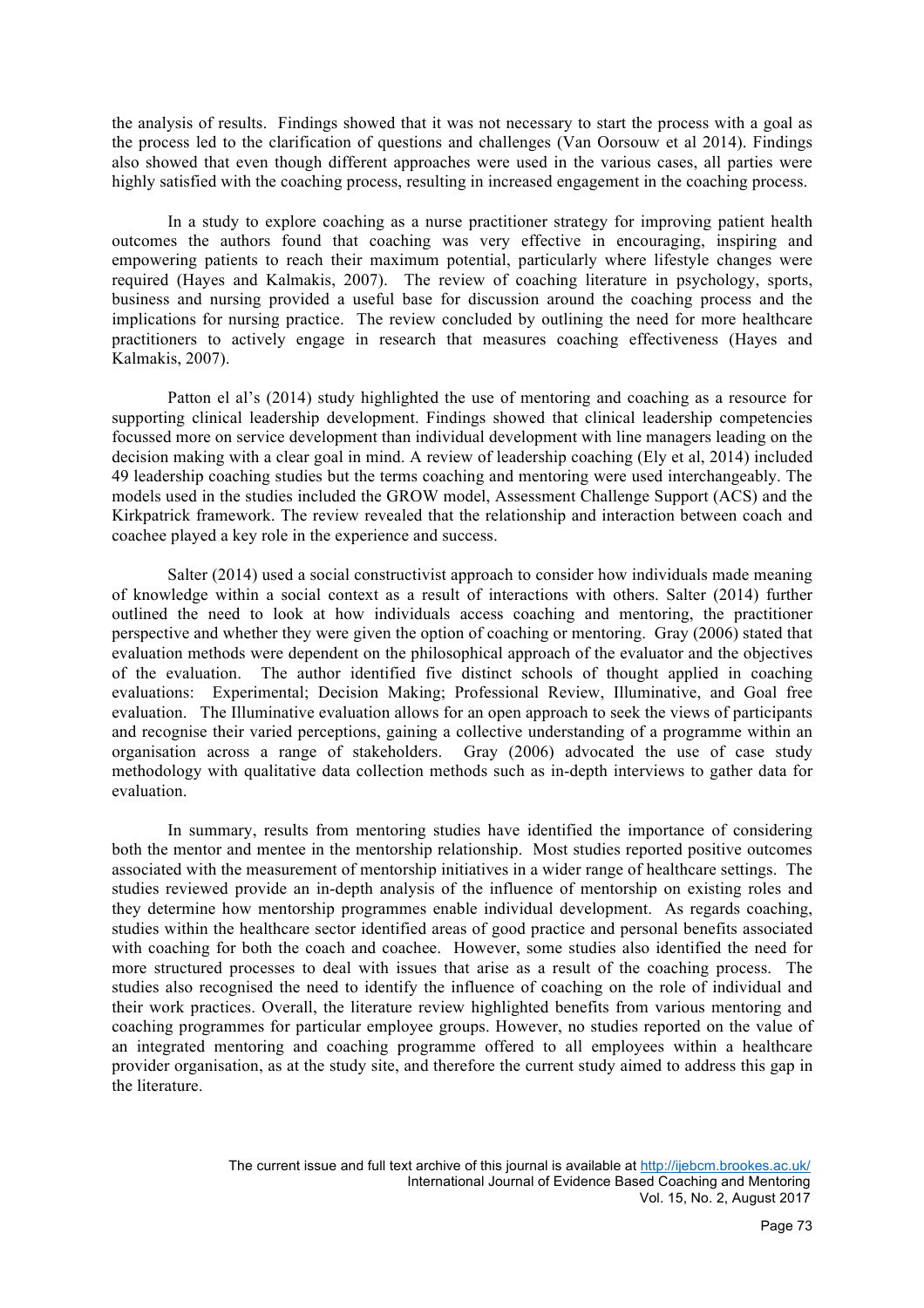the analysis of results. Findings showed that it was not necessary to start the process with a goal as the process led to the clarification of questions and challenges (Van Oorsouw et al 2014). Findings also showed that even though different approaches were used in the various cases, all parties were highly satisfied with the coaching process, resulting in increased engagement in the coaching process.

In a study to explore coaching as a nurse practitioner strategy for improving patient health outcomes the authors found that coaching was very effective in encouraging, inspiring and empowering patients to reach their maximum potential, particularly where lifestyle changes were required (Hayes and Kalmakis, 2007). The review of coaching literature in psychology, sports, business and nursing provided a useful base for discussion around the coaching process and the implications for nursing practice. The review concluded by outlining the need for more healthcare practitioners to actively engage in research that measures coaching effectiveness (Hayes and Kalmakis, 2007).

Patton el al's (2014) study highlighted the use of mentoring and coaching as a resource for supporting clinical leadership development. Findings showed that clinical leadership competencies focussed more on service development than individual development with line managers leading on the decision making with a clear goal in mind. A review of leadership coaching (Ely et al, 2014) included 49 leadership coaching studies but the terms coaching and mentoring were used interchangeably. The models used in the studies included the GROW model, Assessment Challenge Support (ACS) and the Kirkpatrick framework. The review revealed that the relationship and interaction between coach and coachee played a key role in the experience and success.

Salter (2014) used a social constructivist approach to consider how individuals made meaning of knowledge within a social context as a result of interactions with others. Salter (2014) further outlined the need to look at how individuals access coaching and mentoring, the practitioner perspective and whether they were given the option of coaching or mentoring. Gray (2006) stated that evaluation methods were dependent on the philosophical approach of the evaluator and the objectives of the evaluation. The author identified five distinct schools of thought applied in coaching evaluations: Experimental; Decision Making; Professional Review, Illuminative, and Goal free evaluation. The Illuminative evaluation allows for an open approach to seek the views of participants and recognise their varied perceptions, gaining a collective understanding of a programme within an organisation across a range of stakeholders. Gray (2006) advocated the use of case study methodology with qualitative data collection methods such as in-depth interviews to gather data for evaluation.

In summary, results from mentoring studies have identified the importance of considering both the mentor and mentee in the mentorship relationship. Most studies reported positive outcomes associated with the measurement of mentorship initiatives in a wider range of healthcare settings. The studies reviewed provide an in-depth analysis of the influence of mentorship on existing roles and they determine how mentorship programmes enable individual development. As regards coaching, studies within the healthcare sector identified areas of good practice and personal benefits associated with coaching for both the coach and coachee. However, some studies also identified the need for more structured processes to deal with issues that arise as a result of the coaching process. The studies also recognised the need to identify the influence of coaching on the role of individual and their work practices. Overall, the literature review highlighted benefits from various mentoring and coaching programmes for particular employee groups. However, no studies reported on the value of an integrated mentoring and coaching programme offered to all employees within a healthcare provider organisation, as at the study site, and therefore the current study aimed to address this gap in the literature.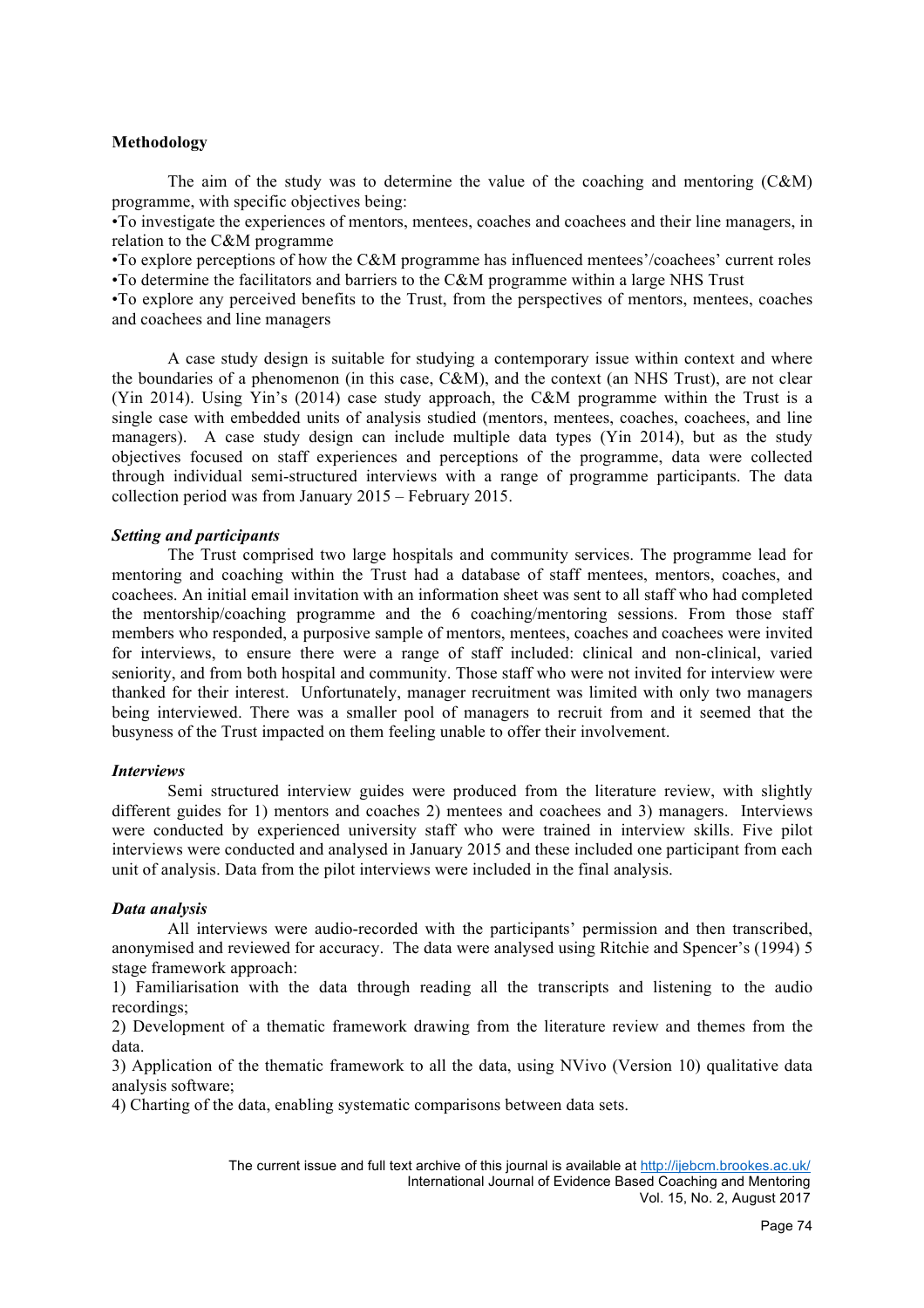## **Methodology**

The aim of the study was to determine the value of the coaching and mentoring  $(C\&M)$ programme, with specific objectives being:

•To investigate the experiences of mentors, mentees, coaches and coachees and their line managers, in relation to the C&M programme

•To explore perceptions of how the C&M programme has influenced mentees'/coachees' current roles •To determine the facilitators and barriers to the C&M programme within a large NHS Trust

•To explore any perceived benefits to the Trust, from the perspectives of mentors, mentees, coaches and coachees and line managers

A case study design is suitable for studying a contemporary issue within context and where the boundaries of a phenomenon (in this case, C&M), and the context (an NHS Trust), are not clear (Yin 2014). Using Yin's (2014) case study approach, the C&M programme within the Trust is a single case with embedded units of analysis studied (mentors, mentees, coaches, coachees, and line managers). A case study design can include multiple data types (Yin 2014), but as the study objectives focused on staff experiences and perceptions of the programme, data were collected through individual semi-structured interviews with a range of programme participants. The data collection period was from January 2015 – February 2015.

## *Setting and participants*

The Trust comprised two large hospitals and community services. The programme lead for mentoring and coaching within the Trust had a database of staff mentees, mentors, coaches, and coachees. An initial email invitation with an information sheet was sent to all staff who had completed the mentorship/coaching programme and the 6 coaching/mentoring sessions. From those staff members who responded, a purposive sample of mentors, mentees, coaches and coachees were invited for interviews, to ensure there were a range of staff included: clinical and non-clinical, varied seniority, and from both hospital and community. Those staff who were not invited for interview were thanked for their interest. Unfortunately, manager recruitment was limited with only two managers being interviewed. There was a smaller pool of managers to recruit from and it seemed that the busyness of the Trust impacted on them feeling unable to offer their involvement.

## *Interviews*

Semi structured interview guides were produced from the literature review, with slightly different guides for 1) mentors and coaches 2) mentees and coachees and 3) managers. Interviews were conducted by experienced university staff who were trained in interview skills. Five pilot interviews were conducted and analysed in January 2015 and these included one participant from each unit of analysis. Data from the pilot interviews were included in the final analysis.

## *Data analysis*

All interviews were audio-recorded with the participants' permission and then transcribed, anonymised and reviewed for accuracy. The data were analysed using Ritchie and Spencer's (1994) 5 stage framework approach:

1) Familiarisation with the data through reading all the transcripts and listening to the audio recordings;

2) Development of a thematic framework drawing from the literature review and themes from the data.

3) Application of the thematic framework to all the data, using NVivo (Version 10) qualitative data analysis software;

4) Charting of the data, enabling systematic comparisons between data sets.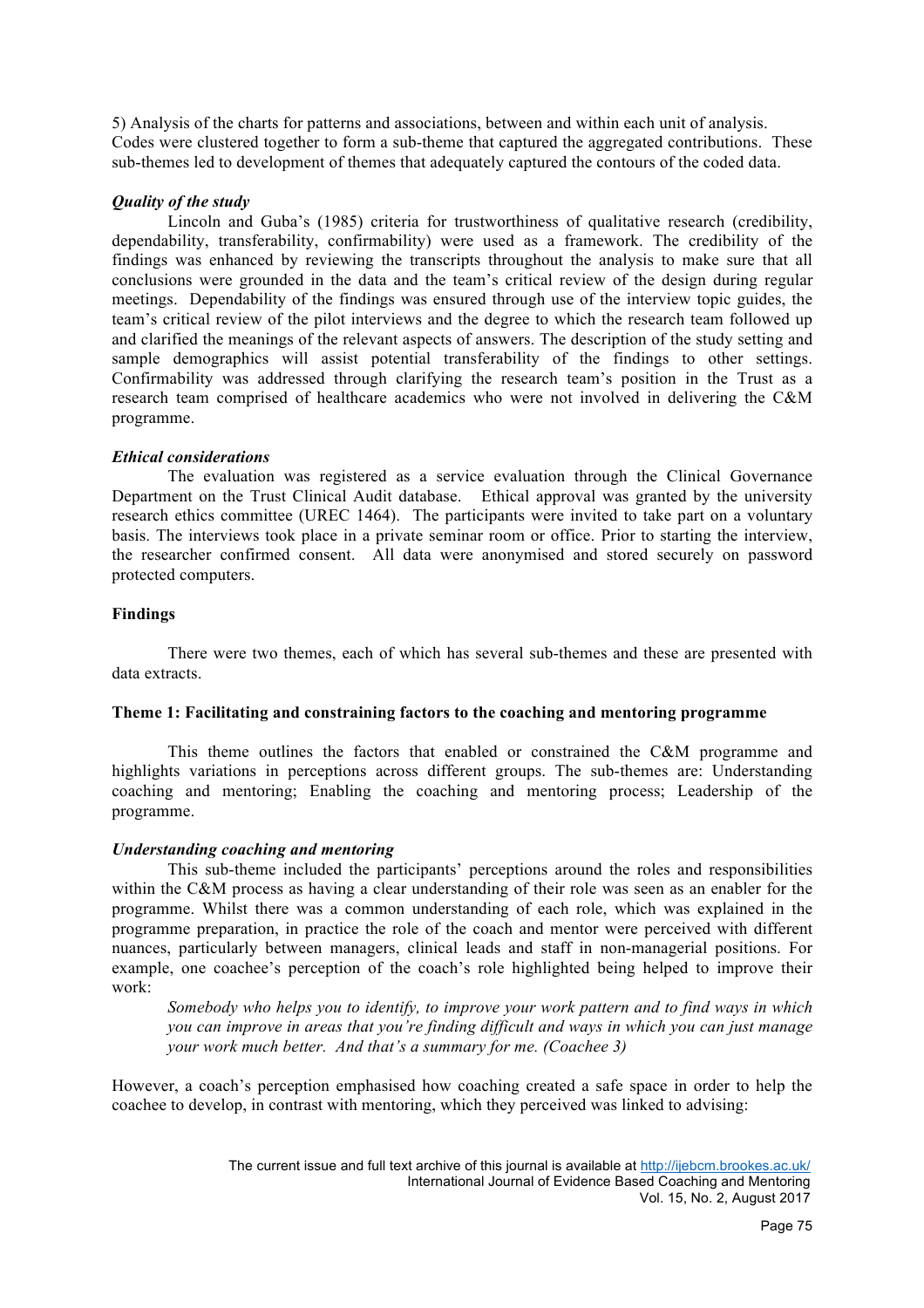5) Analysis of the charts for patterns and associations, between and within each unit of analysis. Codes were clustered together to form a sub-theme that captured the aggregated contributions. These sub-themes led to development of themes that adequately captured the contours of the coded data.

# *Quality of the study*

Lincoln and Guba's (1985) criteria for trustworthiness of qualitative research (credibility, dependability, transferability, confirmability) were used as a framework. The credibility of the findings was enhanced by reviewing the transcripts throughout the analysis to make sure that all conclusions were grounded in the data and the team's critical review of the design during regular meetings. Dependability of the findings was ensured through use of the interview topic guides, the team's critical review of the pilot interviews and the degree to which the research team followed up and clarified the meanings of the relevant aspects of answers. The description of the study setting and sample demographics will assist potential transferability of the findings to other settings. Confirmability was addressed through clarifying the research team's position in the Trust as a research team comprised of healthcare academics who were not involved in delivering the C&M programme.

## *Ethical considerations*

The evaluation was registered as a service evaluation through the Clinical Governance Department on the Trust Clinical Audit database. Ethical approval was granted by the university research ethics committee (UREC 1464). The participants were invited to take part on a voluntary basis. The interviews took place in a private seminar room or office. Prior to starting the interview, the researcher confirmed consent. All data were anonymised and stored securely on password protected computers.

# **Findings**

There were two themes, each of which has several sub-themes and these are presented with data extracts.

## **Theme 1: Facilitating and constraining factors to the coaching and mentoring programme**

This theme outlines the factors that enabled or constrained the C&M programme and highlights variations in perceptions across different groups. The sub-themes are: Understanding coaching and mentoring; Enabling the coaching and mentoring process; Leadership of the programme.

## *Understanding coaching and mentoring*

This sub-theme included the participants' perceptions around the roles and responsibilities within the C&M process as having a clear understanding of their role was seen as an enabler for the programme. Whilst there was a common understanding of each role, which was explained in the programme preparation, in practice the role of the coach and mentor were perceived with different nuances, particularly between managers, clinical leads and staff in non-managerial positions. For example, one coachee's perception of the coach's role highlighted being helped to improve their work:

*Somebody who helps you to identify, to improve your work pattern and to find ways in which you can improve in areas that you're finding difficult and ways in which you can just manage your work much better. And that's a summary for me. (Coachee 3)*

However, a coach's perception emphasised how coaching created a safe space in order to help the coachee to develop, in contrast with mentoring, which they perceived was linked to advising: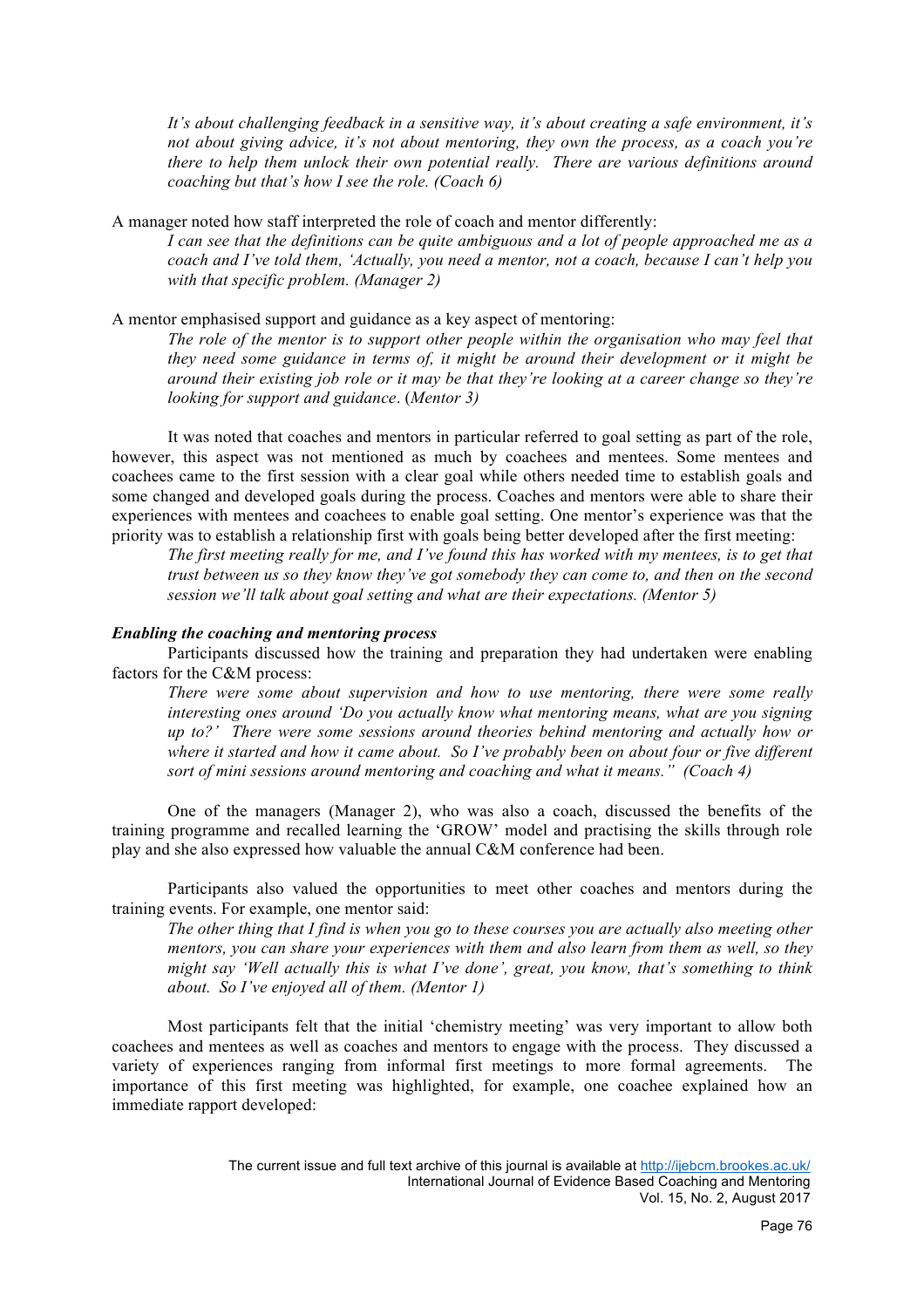*It's about challenging feedback in a sensitive way, it's about creating a safe environment, it's not about giving advice, it's not about mentoring, they own the process, as a coach you're there to help them unlock their own potential really. There are various definitions around coaching but that's how I see the role. (Coach 6)*

A manager noted how staff interpreted the role of coach and mentor differently:

*I can see that the definitions can be quite ambiguous and a lot of people approached me as a coach and I've told them, 'Actually, you need a mentor, not a coach, because I can't help you with that specific problem. (Manager 2)*

A mentor emphasised support and guidance as a key aspect of mentoring:

*The role of the mentor is to support other people within the organisation who may feel that they need some guidance in terms of, it might be around their development or it might be around their existing job role or it may be that they're looking at a career change so they're looking for support and guidance*. (*Mentor 3)*

It was noted that coaches and mentors in particular referred to goal setting as part of the role, however, this aspect was not mentioned as much by coachees and mentees. Some mentees and coachees came to the first session with a clear goal while others needed time to establish goals and some changed and developed goals during the process. Coaches and mentors were able to share their experiences with mentees and coachees to enable goal setting. One mentor's experience was that the priority was to establish a relationship first with goals being better developed after the first meeting:

*The first meeting really for me, and I've found this has worked with my mentees, is to get that trust between us so they know they've got somebody they can come to, and then on the second session we'll talk about goal setting and what are their expectations. (Mentor 5)*

#### *Enabling the coaching and mentoring process*

Participants discussed how the training and preparation they had undertaken were enabling factors for the C&M process:

*There were some about supervision and how to use mentoring, there were some really interesting ones around 'Do you actually know what mentoring means, what are you signing up to?' There were some sessions around theories behind mentoring and actually how or where it started and how it came about. So I've probably been on about four or five different sort of mini sessions around mentoring and coaching and what it means." (Coach 4)*

One of the managers (Manager 2), who was also a coach, discussed the benefits of the training programme and recalled learning the 'GROW' model and practising the skills through role play and she also expressed how valuable the annual C&M conference had been.

Participants also valued the opportunities to meet other coaches and mentors during the training events. For example, one mentor said:

*The other thing that I find is when you go to these courses you are actually also meeting other mentors, you can share your experiences with them and also learn from them as well, so they might say 'Well actually this is what I've done', great, you know, that's something to think about. So I've enjoyed all of them. (Mentor 1)*

Most participants felt that the initial 'chemistry meeting' was very important to allow both coachees and mentees as well as coaches and mentors to engage with the process. They discussed a variety of experiences ranging from informal first meetings to more formal agreements. The importance of this first meeting was highlighted, for example, one coachee explained how an immediate rapport developed: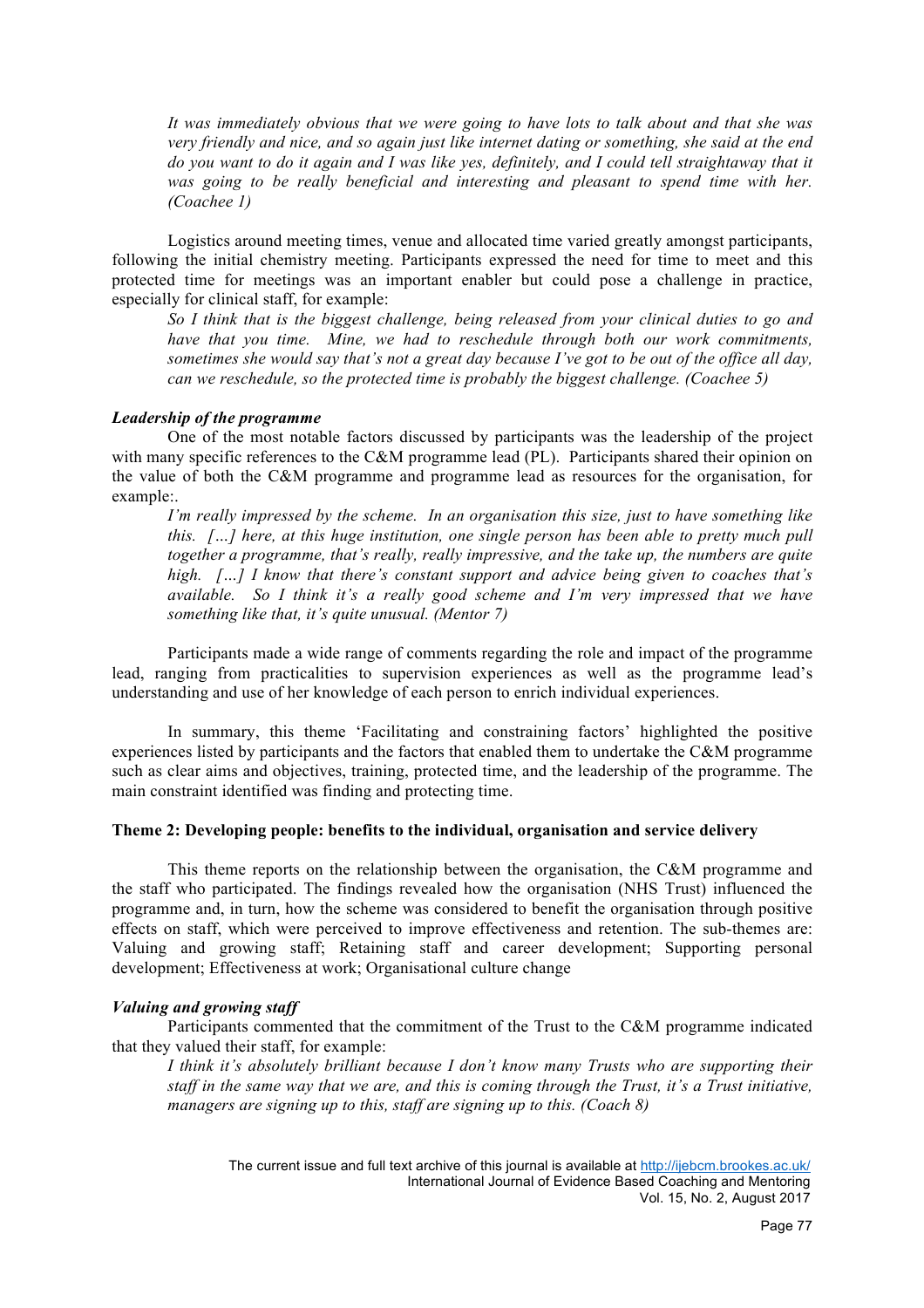*It was immediately obvious that we were going to have lots to talk about and that she was very friendly and nice, and so again just like internet dating or something, she said at the end do you want to do it again and I was like yes, definitely, and I could tell straightaway that it was going to be really beneficial and interesting and pleasant to spend time with her. (Coachee 1)*

Logistics around meeting times, venue and allocated time varied greatly amongst participants, following the initial chemistry meeting. Participants expressed the need for time to meet and this protected time for meetings was an important enabler but could pose a challenge in practice, especially for clinical staff, for example:

*So I think that is the biggest challenge, being released from your clinical duties to go and have that you time. Mine, we had to reschedule through both our work commitments, sometimes she would say that's not a great day because I've got to be out of the office all day, can we reschedule, so the protected time is probably the biggest challenge. (Coachee 5)*

## *Leadership of the programme*

One of the most notable factors discussed by participants was the leadership of the project with many specific references to the C&M programme lead (PL). Participants shared their opinion on the value of both the C&M programme and programme lead as resources for the organisation, for example:.

*I'm really impressed by the scheme. In an organisation this size, just to have something like this. […] here, at this huge institution, one single person has been able to pretty much pull together a programme, that's really, really impressive, and the take up, the numbers are quite high. […] I know that there's constant support and advice being given to coaches that's available. So I think it's a really good scheme and I'm very impressed that we have something like that, it's quite unusual. (Mentor 7)*

Participants made a wide range of comments regarding the role and impact of the programme lead, ranging from practicalities to supervision experiences as well as the programme lead's understanding and use of her knowledge of each person to enrich individual experiences.

In summary, this theme 'Facilitating and constraining factors' highlighted the positive experiences listed by participants and the factors that enabled them to undertake the C&M programme such as clear aims and objectives, training, protected time, and the leadership of the programme. The main constraint identified was finding and protecting time.

# **Theme 2: Developing people: benefits to the individual, organisation and service delivery**

This theme reports on the relationship between the organisation, the C&M programme and the staff who participated. The findings revealed how the organisation (NHS Trust) influenced the programme and, in turn, how the scheme was considered to benefit the organisation through positive effects on staff, which were perceived to improve effectiveness and retention. The sub-themes are: Valuing and growing staff; Retaining staff and career development; Supporting personal development; Effectiveness at work; Organisational culture change

## *Valuing and growing staff*

Participants commented that the commitment of the Trust to the C&M programme indicated that they valued their staff, for example:

*I think it's absolutely brilliant because I don't know many Trusts who are supporting their staff in the same way that we are, and this is coming through the Trust, it's a Trust initiative, managers are signing up to this, staff are signing up to this. (Coach 8)*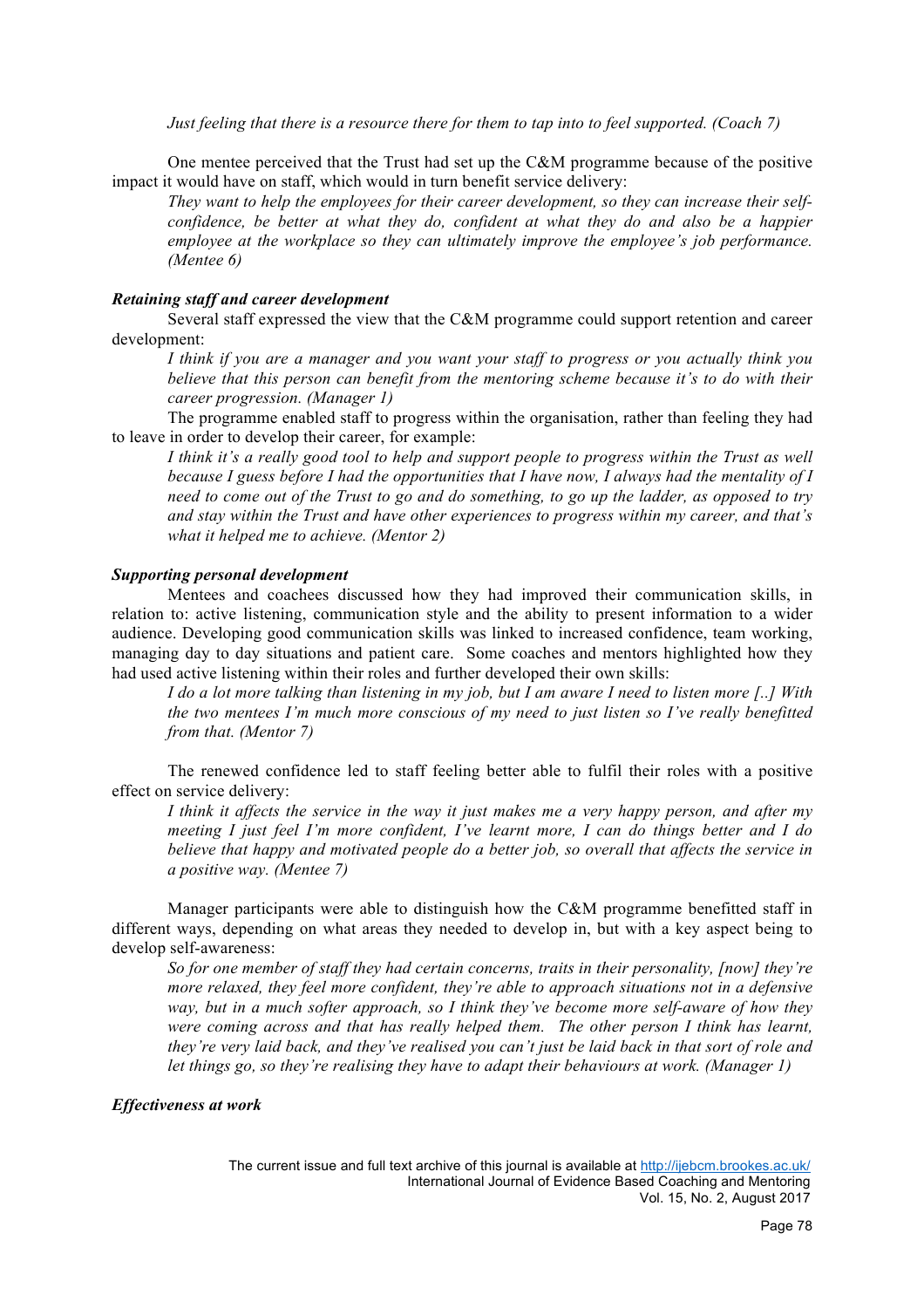*Just feeling that there is a resource there for them to tap into to feel supported. (Coach 7)*

One mentee perceived that the Trust had set up the C&M programme because of the positive impact it would have on staff, which would in turn benefit service delivery:

*They want to help the employees for their career development, so they can increase their selfconfidence, be better at what they do, confident at what they do and also be a happier employee at the workplace so they can ultimately improve the employee's job performance. (Mentee 6)*

## *Retaining staff and career development*

Several staff expressed the view that the C&M programme could support retention and career development:

*I think if you are a manager and you want your staff to progress or you actually think you believe that this person can benefit from the mentoring scheme because it's to do with their career progression. (Manager 1)*

The programme enabled staff to progress within the organisation, rather than feeling they had to leave in order to develop their career, for example:

*I think it's a really good tool to help and support people to progress within the Trust as well because I guess before I had the opportunities that I have now, I always had the mentality of I need to come out of the Trust to go and do something, to go up the ladder, as opposed to try and stay within the Trust and have other experiences to progress within my career, and that's what it helped me to achieve. (Mentor 2)*

#### *Supporting personal development*

Mentees and coachees discussed how they had improved their communication skills, in relation to: active listening, communication style and the ability to present information to a wider audience. Developing good communication skills was linked to increased confidence, team working, managing day to day situations and patient care. Some coaches and mentors highlighted how they had used active listening within their roles and further developed their own skills:

*I do a lot more talking than listening in my job, but I am aware I need to listen more [..] With the two mentees I'm much more conscious of my need to just listen so I've really benefitted from that. (Mentor 7)*

The renewed confidence led to staff feeling better able to fulfil their roles with a positive effect on service delivery:

*I think it affects the service in the way it just makes me a very happy person, and after my meeting I just feel I'm more confident, I've learnt more, I can do things better and I do believe that happy and motivated people do a better job, so overall that affects the service in a positive way. (Mentee 7)*

Manager participants were able to distinguish how the C&M programme benefitted staff in different ways, depending on what areas they needed to develop in, but with a key aspect being to develop self-awareness:

*So for one member of staff they had certain concerns, traits in their personality, [now] they're more relaxed, they feel more confident, they're able to approach situations not in a defensive way, but in a much softer approach, so I think they've become more self-aware of how they were coming across and that has really helped them. The other person I think has learnt, they're very laid back, and they've realised you can't just be laid back in that sort of role and let things go, so they're realising they have to adapt their behaviours at work. (Manager 1)*

## *Effectiveness at work*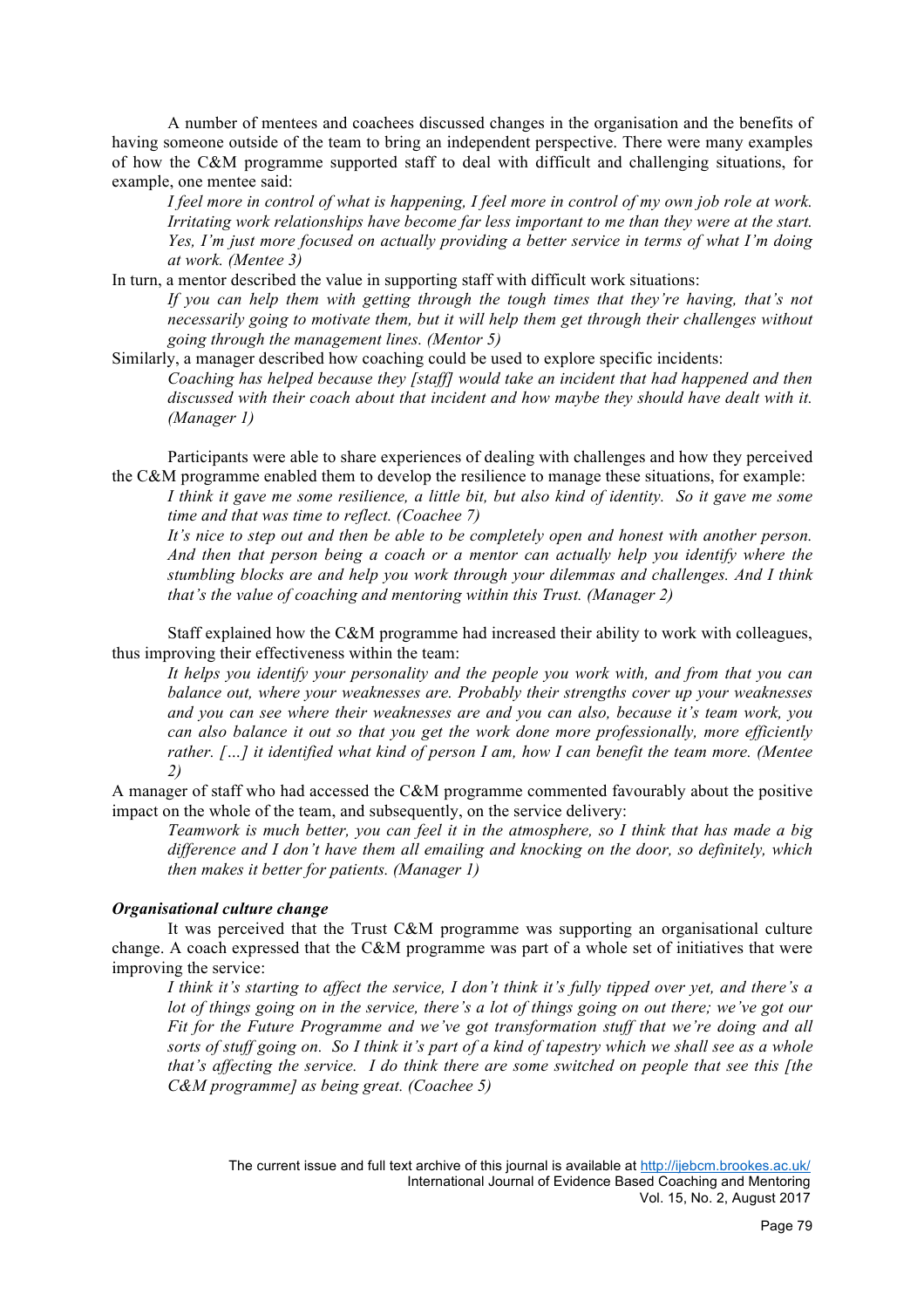A number of mentees and coachees discussed changes in the organisation and the benefits of having someone outside of the team to bring an independent perspective. There were many examples of how the C&M programme supported staff to deal with difficult and challenging situations, for example, one mentee said:

*I feel more in control of what is happening, I feel more in control of my own job role at work. Irritating work relationships have become far less important to me than they were at the start. Yes, I'm just more focused on actually providing a better service in terms of what I'm doing at work. (Mentee 3)*

In turn, a mentor described the value in supporting staff with difficult work situations: *If you can help them with getting through the tough times that they're having, that's not necessarily going to motivate them, but it will help them get through their challenges without going through the management lines. (Mentor 5)*

Similarly, a manager described how coaching could be used to explore specific incidents: *Coaching has helped because they [staff] would take an incident that had happened and then discussed with their coach about that incident and how maybe they should have dealt with it. (Manager 1)*

Participants were able to share experiences of dealing with challenges and how they perceived the C&M programme enabled them to develop the resilience to manage these situations, for example:

*I think it gave me some resilience, a little bit, but also kind of identity. So it gave me some time and that was time to reflect. (Coachee 7)*

*It's nice to step out and then be able to be completely open and honest with another person. And then that person being a coach or a mentor can actually help you identify where the stumbling blocks are and help you work through your dilemmas and challenges. And I think that's the value of coaching and mentoring within this Trust. (Manager 2)*

Staff explained how the C&M programme had increased their ability to work with colleagues, thus improving their effectiveness within the team:

*It helps you identify your personality and the people you work with, and from that you can balance out, where your weaknesses are. Probably their strengths cover up your weaknesses and you can see where their weaknesses are and you can also, because it's team work, you can also balance it out so that you get the work done more professionally, more efficiently rather. […] it identified what kind of person I am, how I can benefit the team more. (Mentee 2)*

A manager of staff who had accessed the C&M programme commented favourably about the positive impact on the whole of the team, and subsequently, on the service delivery:

*Teamwork is much better, you can feel it in the atmosphere, so I think that has made a big difference and I don't have them all emailing and knocking on the door, so definitely, which then makes it better for patients. (Manager 1)*

# *Organisational culture change*

It was perceived that the Trust C&M programme was supporting an organisational culture change. A coach expressed that the C&M programme was part of a whole set of initiatives that were improving the service:

*I think it's starting to affect the service, I don't think it's fully tipped over yet, and there's a lot of things going on in the service, there's a lot of things going on out there; we've got our Fit for the Future Programme and we've got transformation stuff that we're doing and all sorts of stuff going on. So I think it's part of a kind of tapestry which we shall see as a whole that's affecting the service. I do think there are some switched on people that see this [the C&M programme] as being great. (Coachee 5)*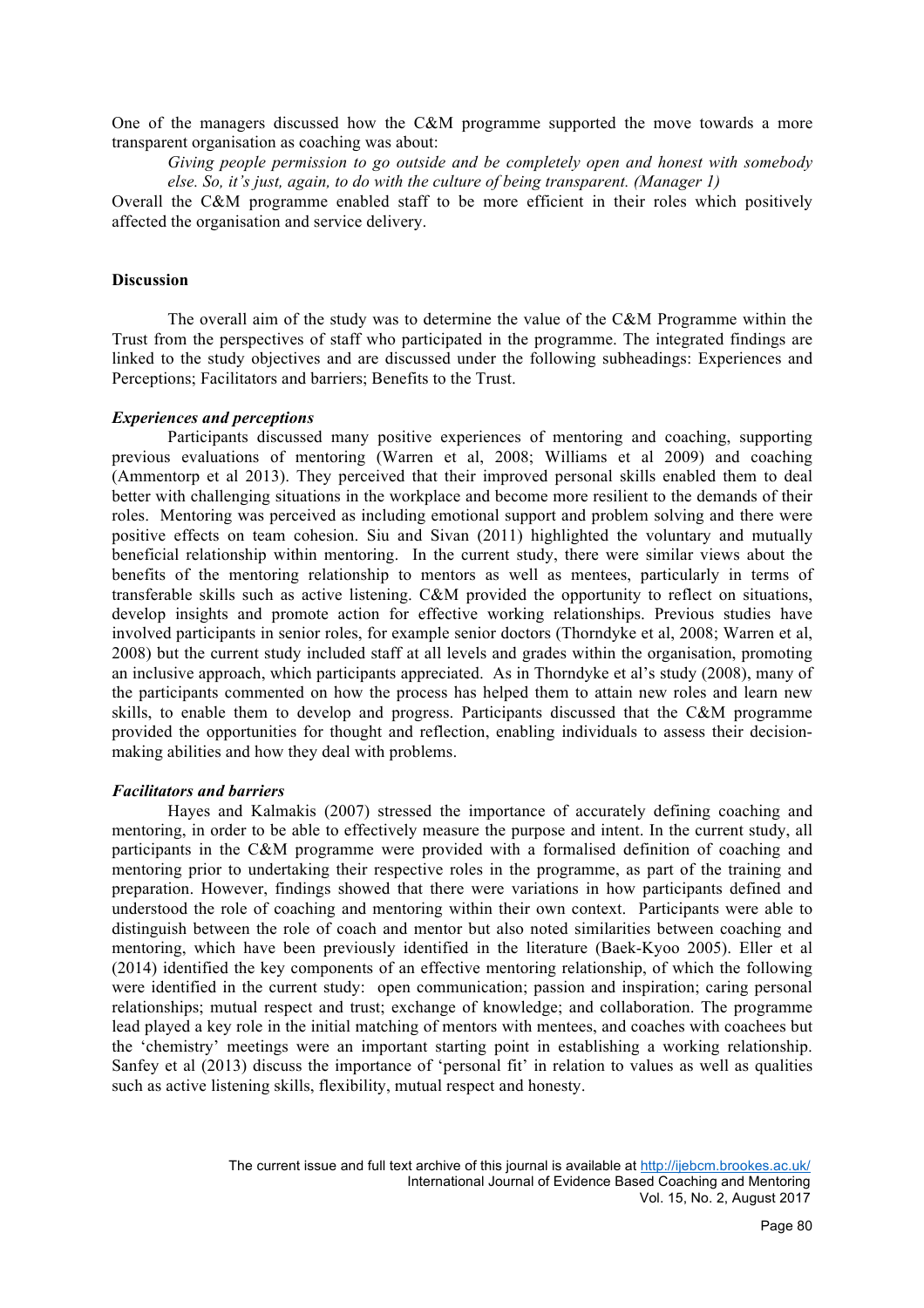One of the managers discussed how the C&M programme supported the move towards a more transparent organisation as coaching was about:

*Giving people permission to go outside and be completely open and honest with somebody else. So, it's just, again, to do with the culture of being transparent. (Manager 1)*

Overall the C&M programme enabled staff to be more efficient in their roles which positively affected the organisation and service delivery.

## **Discussion**

The overall aim of the study was to determine the value of the C&M Programme within the Trust from the perspectives of staff who participated in the programme. The integrated findings are linked to the study objectives and are discussed under the following subheadings: Experiences and Perceptions; Facilitators and barriers; Benefits to the Trust.

#### *Experiences and perceptions*

Participants discussed many positive experiences of mentoring and coaching, supporting previous evaluations of mentoring (Warren et al, 2008; Williams et al 2009) and coaching (Ammentorp et al 2013). They perceived that their improved personal skills enabled them to deal better with challenging situations in the workplace and become more resilient to the demands of their roles. Mentoring was perceived as including emotional support and problem solving and there were positive effects on team cohesion. Siu and Sivan (2011) highlighted the voluntary and mutually beneficial relationship within mentoring. In the current study, there were similar views about the benefits of the mentoring relationship to mentors as well as mentees, particularly in terms of transferable skills such as active listening. C&M provided the opportunity to reflect on situations, develop insights and promote action for effective working relationships. Previous studies have involved participants in senior roles, for example senior doctors (Thorndyke et al, 2008; Warren et al, 2008) but the current study included staff at all levels and grades within the organisation, promoting an inclusive approach, which participants appreciated. As in Thorndyke et al's study (2008), many of the participants commented on how the process has helped them to attain new roles and learn new skills, to enable them to develop and progress. Participants discussed that the C&M programme provided the opportunities for thought and reflection, enabling individuals to assess their decisionmaking abilities and how they deal with problems.

## *Facilitators and barriers*

Hayes and Kalmakis (2007) stressed the importance of accurately defining coaching and mentoring, in order to be able to effectively measure the purpose and intent. In the current study, all participants in the C&M programme were provided with a formalised definition of coaching and mentoring prior to undertaking their respective roles in the programme, as part of the training and preparation. However, findings showed that there were variations in how participants defined and understood the role of coaching and mentoring within their own context. Participants were able to distinguish between the role of coach and mentor but also noted similarities between coaching and mentoring, which have been previously identified in the literature (Baek-Kyoo 2005). Eller et al (2014) identified the key components of an effective mentoring relationship, of which the following were identified in the current study: open communication; passion and inspiration; caring personal relationships; mutual respect and trust; exchange of knowledge; and collaboration. The programme lead played a key role in the initial matching of mentors with mentees, and coaches with coachees but the 'chemistry' meetings were an important starting point in establishing a working relationship. Sanfey et al (2013) discuss the importance of 'personal fit' in relation to values as well as qualities such as active listening skills, flexibility, mutual respect and honesty.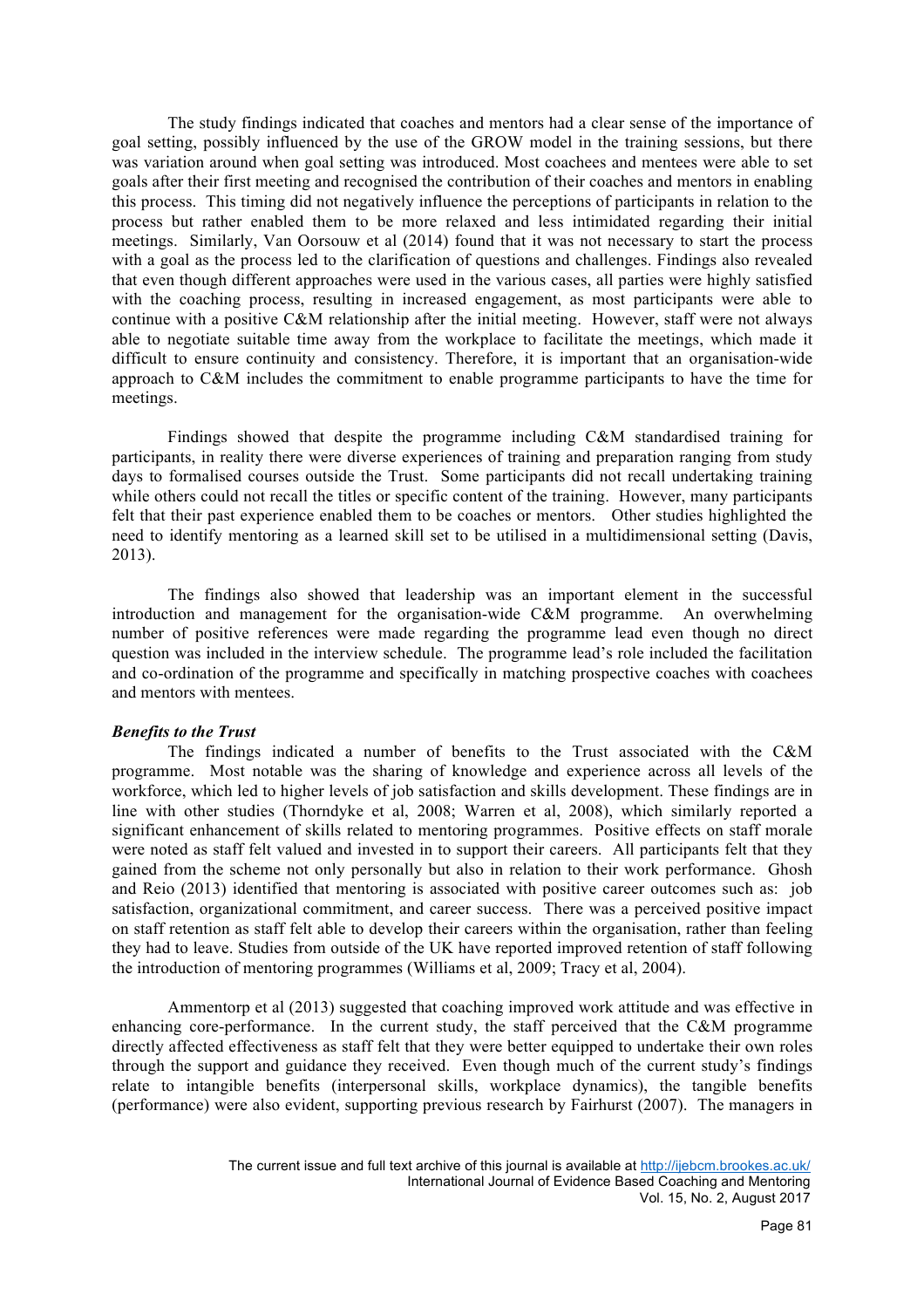The study findings indicated that coaches and mentors had a clear sense of the importance of goal setting, possibly influenced by the use of the GROW model in the training sessions, but there was variation around when goal setting was introduced. Most coachees and mentees were able to set goals after their first meeting and recognised the contribution of their coaches and mentors in enabling this process. This timing did not negatively influence the perceptions of participants in relation to the process but rather enabled them to be more relaxed and less intimidated regarding their initial meetings. Similarly, Van Oorsouw et al (2014) found that it was not necessary to start the process with a goal as the process led to the clarification of questions and challenges. Findings also revealed that even though different approaches were used in the various cases, all parties were highly satisfied with the coaching process, resulting in increased engagement, as most participants were able to continue with a positive C&M relationship after the initial meeting. However, staff were not always able to negotiate suitable time away from the workplace to facilitate the meetings, which made it difficult to ensure continuity and consistency. Therefore, it is important that an organisation-wide approach to C&M includes the commitment to enable programme participants to have the time for meetings.

Findings showed that despite the programme including C&M standardised training for participants, in reality there were diverse experiences of training and preparation ranging from study days to formalised courses outside the Trust. Some participants did not recall undertaking training while others could not recall the titles or specific content of the training. However, many participants felt that their past experience enabled them to be coaches or mentors. Other studies highlighted the need to identify mentoring as a learned skill set to be utilised in a multidimensional setting (Davis, 2013).

The findings also showed that leadership was an important element in the successful introduction and management for the organisation-wide C&M programme. An overwhelming number of positive references were made regarding the programme lead even though no direct question was included in the interview schedule. The programme lead's role included the facilitation and co-ordination of the programme and specifically in matching prospective coaches with coachees and mentors with mentees.

## *Benefits to the Trust*

The findings indicated a number of benefits to the Trust associated with the C&M programme. Most notable was the sharing of knowledge and experience across all levels of the workforce, which led to higher levels of job satisfaction and skills development. These findings are in line with other studies (Thorndyke et al, 2008; Warren et al, 2008), which similarly reported a significant enhancement of skills related to mentoring programmes. Positive effects on staff morale were noted as staff felt valued and invested in to support their careers. All participants felt that they gained from the scheme not only personally but also in relation to their work performance. Ghosh and Reio (2013) identified that mentoring is associated with positive career outcomes such as: job satisfaction, organizational commitment, and career success. There was a perceived positive impact on staff retention as staff felt able to develop their careers within the organisation, rather than feeling they had to leave. Studies from outside of the UK have reported improved retention of staff following the introduction of mentoring programmes (Williams et al, 2009; Tracy et al, 2004).

Ammentorp et al (2013) suggested that coaching improved work attitude and was effective in enhancing core-performance. In the current study, the staff perceived that the C&M programme directly affected effectiveness as staff felt that they were better equipped to undertake their own roles through the support and guidance they received. Even though much of the current study's findings relate to intangible benefits (interpersonal skills, workplace dynamics), the tangible benefits (performance) were also evident, supporting previous research by Fairhurst (2007). The managers in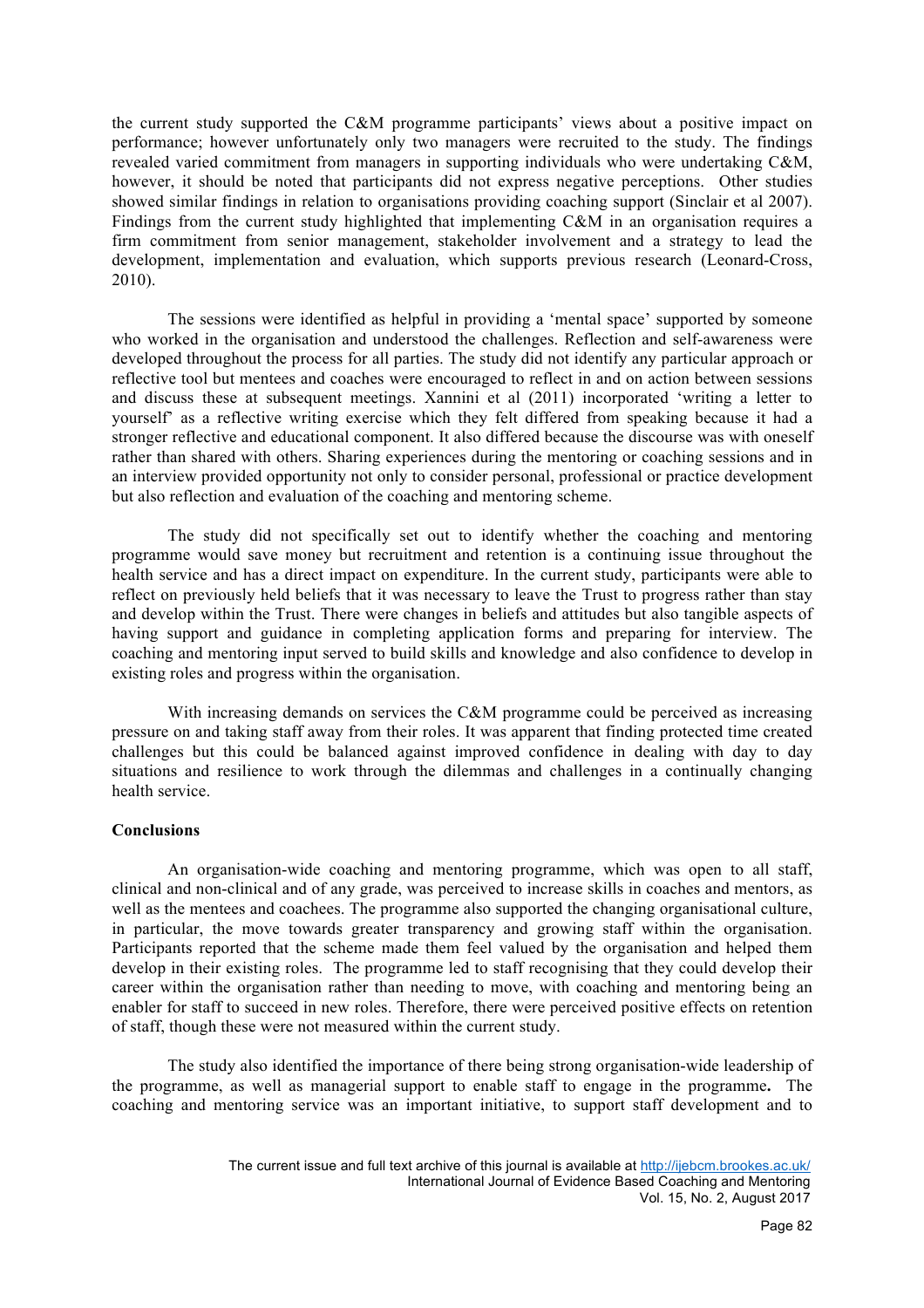the current study supported the C&M programme participants' views about a positive impact on performance; however unfortunately only two managers were recruited to the study. The findings revealed varied commitment from managers in supporting individuals who were undertaking C&M, however, it should be noted that participants did not express negative perceptions. Other studies showed similar findings in relation to organisations providing coaching support (Sinclair et al 2007). Findings from the current study highlighted that implementing C&M in an organisation requires a firm commitment from senior management, stakeholder involvement and a strategy to lead the development, implementation and evaluation, which supports previous research (Leonard-Cross, 2010).

The sessions were identified as helpful in providing a 'mental space' supported by someone who worked in the organisation and understood the challenges. Reflection and self-awareness were developed throughout the process for all parties. The study did not identify any particular approach or reflective tool but mentees and coaches were encouraged to reflect in and on action between sessions and discuss these at subsequent meetings. Xannini et al (2011) incorporated 'writing a letter to yourself' as a reflective writing exercise which they felt differed from speaking because it had a stronger reflective and educational component. It also differed because the discourse was with oneself rather than shared with others. Sharing experiences during the mentoring or coaching sessions and in an interview provided opportunity not only to consider personal, professional or practice development but also reflection and evaluation of the coaching and mentoring scheme.

The study did not specifically set out to identify whether the coaching and mentoring programme would save money but recruitment and retention is a continuing issue throughout the health service and has a direct impact on expenditure. In the current study, participants were able to reflect on previously held beliefs that it was necessary to leave the Trust to progress rather than stay and develop within the Trust. There were changes in beliefs and attitudes but also tangible aspects of having support and guidance in completing application forms and preparing for interview. The coaching and mentoring input served to build skills and knowledge and also confidence to develop in existing roles and progress within the organisation.

With increasing demands on services the C&M programme could be perceived as increasing pressure on and taking staff away from their roles. It was apparent that finding protected time created challenges but this could be balanced against improved confidence in dealing with day to day situations and resilience to work through the dilemmas and challenges in a continually changing health service.

## **Conclusions**

An organisation-wide coaching and mentoring programme, which was open to all staff, clinical and non-clinical and of any grade, was perceived to increase skills in coaches and mentors, as well as the mentees and coachees. The programme also supported the changing organisational culture, in particular, the move towards greater transparency and growing staff within the organisation. Participants reported that the scheme made them feel valued by the organisation and helped them develop in their existing roles. The programme led to staff recognising that they could develop their career within the organisation rather than needing to move, with coaching and mentoring being an enabler for staff to succeed in new roles. Therefore, there were perceived positive effects on retention of staff, though these were not measured within the current study.

The study also identified the importance of there being strong organisation-wide leadership of the programme, as well as managerial support to enable staff to engage in the programme**.** The coaching and mentoring service was an important initiative, to support staff development and to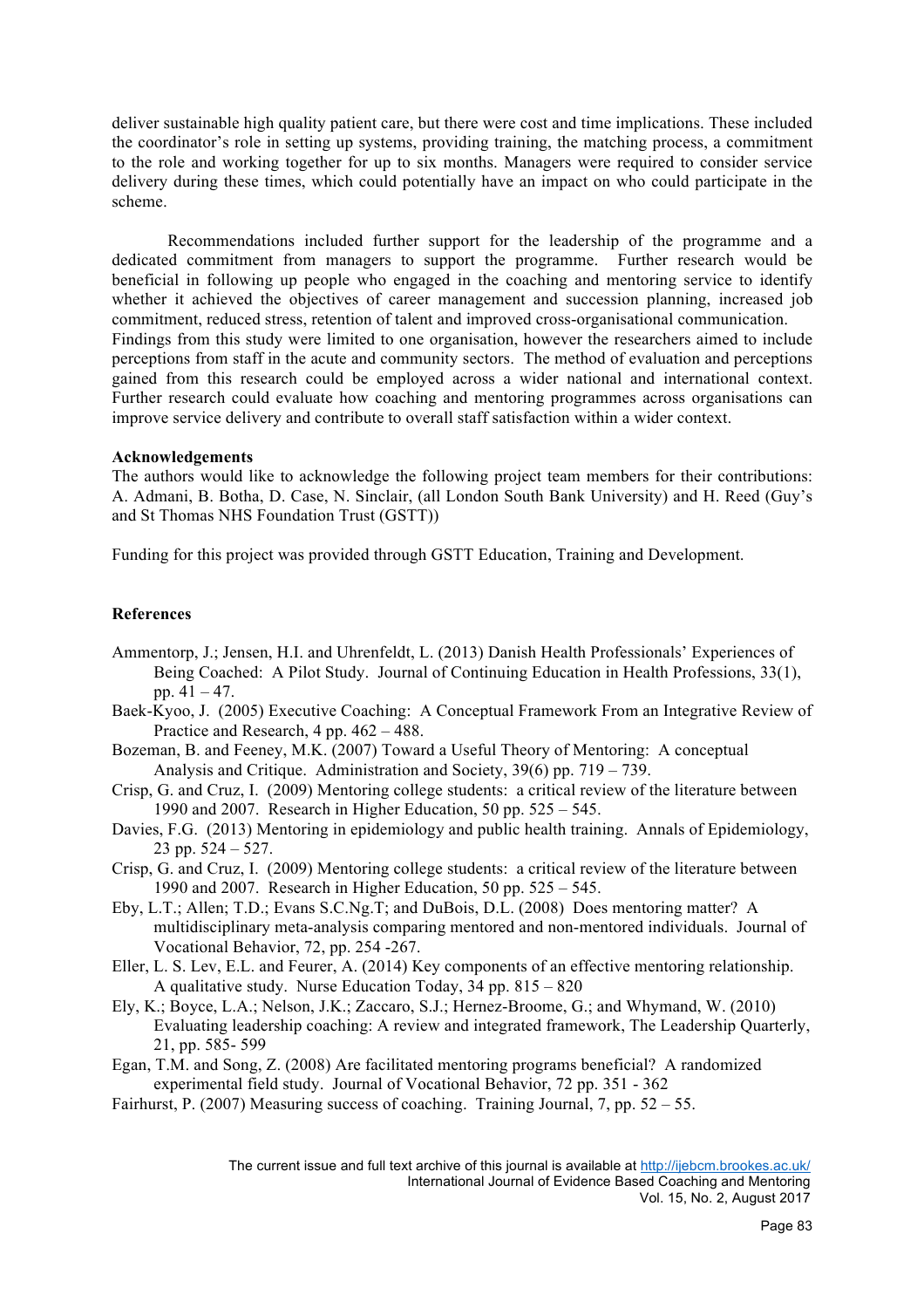deliver sustainable high quality patient care, but there were cost and time implications. These included the coordinator's role in setting up systems, providing training, the matching process, a commitment to the role and working together for up to six months. Managers were required to consider service delivery during these times, which could potentially have an impact on who could participate in the scheme.

Recommendations included further support for the leadership of the programme and a dedicated commitment from managers to support the programme. Further research would be beneficial in following up people who engaged in the coaching and mentoring service to identify whether it achieved the objectives of career management and succession planning, increased job commitment, reduced stress, retention of talent and improved cross-organisational communication. Findings from this study were limited to one organisation, however the researchers aimed to include perceptions from staff in the acute and community sectors. The method of evaluation and perceptions gained from this research could be employed across a wider national and international context. Further research could evaluate how coaching and mentoring programmes across organisations can improve service delivery and contribute to overall staff satisfaction within a wider context.

## **Acknowledgements**

The authors would like to acknowledge the following project team members for their contributions: A. Admani, B. Botha, D. Case, N. Sinclair, (all London South Bank University) and H. Reed (Guy's and St Thomas NHS Foundation Trust (GSTT))

Funding for this project was provided through GSTT Education, Training and Development.

# **References**

- Ammentorp, J.; Jensen, H.I. and Uhrenfeldt, L. (2013) Danish Health Professionals' Experiences of Being Coached: A Pilot Study. Journal of Continuing Education in Health Professions, 33(1), pp.  $41 - 47$ .
- Baek-Kyoo, J. (2005) Executive Coaching: A Conceptual Framework From an Integrative Review of Practice and Research, 4 pp. 462 – 488.
- Bozeman, B. and Feeney, M.K. (2007) Toward a Useful Theory of Mentoring: A conceptual Analysis and Critique. Administration and Society, 39(6) pp. 719 – 739.
- Crisp, G. and Cruz, I. (2009) Mentoring college students: a critical review of the literature between 1990 and 2007. Research in Higher Education, 50 pp. 525 – 545.
- Davies, F.G. (2013) Mentoring in epidemiology and public health training. Annals of Epidemiology, 23 pp.  $524 - 527$ .
- Crisp, G. and Cruz, I. (2009) Mentoring college students: a critical review of the literature between 1990 and 2007. Research in Higher Education, 50 pp. 525 – 545.
- Eby, L.T.; Allen; T.D.; Evans S.C.Ng.T; and DuBois, D.L. (2008) Does mentoring matter? A multidisciplinary meta-analysis comparing mentored and non-mentored individuals. Journal of Vocational Behavior, 72, pp. 254 -267.
- Eller, L. S. Lev, E.L. and Feurer, A. (2014) Key components of an effective mentoring relationship. A qualitative study. Nurse Education Today, 34 pp. 815 – 820
- Ely, K.; Boyce, L.A.; Nelson, J.K.; Zaccaro, S.J.; Hernez-Broome, G.; and Whymand, W. (2010) Evaluating leadership coaching: A review and integrated framework, The Leadership Quarterly, 21, pp. 585- 599
- Egan, T.M. and Song, Z. (2008) Are facilitated mentoring programs beneficial? A randomized experimental field study. Journal of Vocational Behavior, 72 pp. 351 - 362
- Fairhurst, P. (2007) Measuring success of coaching. Training Journal, 7, pp. 52 55.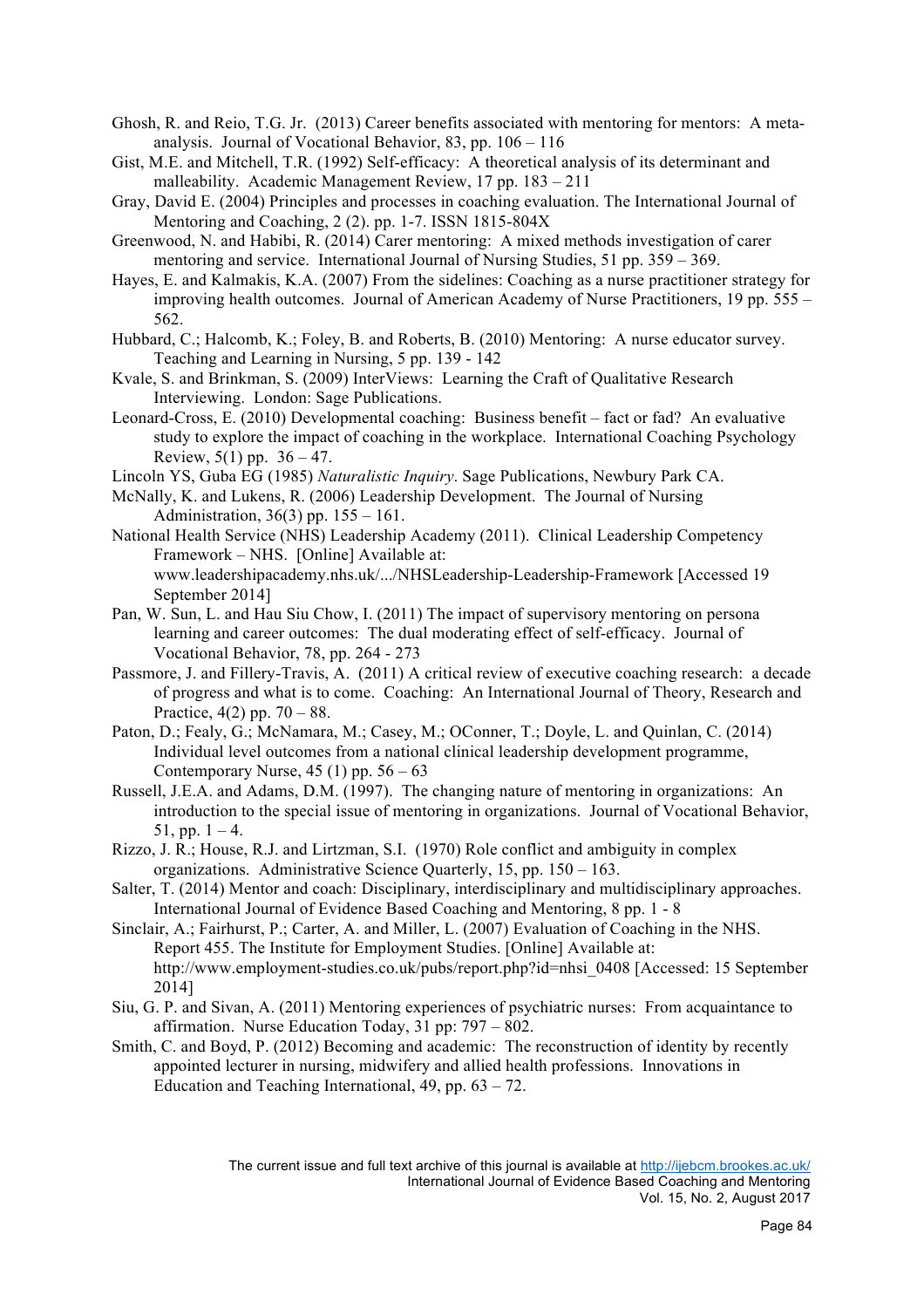- Ghosh, R. and Reio, T.G. Jr. (2013) Career benefits associated with mentoring for mentors: A metaanalysis. Journal of Vocational Behavior, 83, pp. 106 – 116
- Gist, M.E. and Mitchell, T.R. (1992) Self-efficacy: A theoretical analysis of its determinant and malleability. Academic Management Review, 17 pp. 183 – 211
- Gray, David E. (2004) Principles and processes in coaching evaluation. The International Journal of Mentoring and Coaching, 2 (2). pp. 1-7. ISSN 1815-804X
- Greenwood, N. and Habibi, R. (2014) Carer mentoring: A mixed methods investigation of carer mentoring and service. International Journal of Nursing Studies, 51 pp. 359 – 369.
- Hayes, E. and Kalmakis, K.A. (2007) From the sidelines: Coaching as a nurse practitioner strategy for improving health outcomes. Journal of American Academy of Nurse Practitioners, 19 pp. 555 – 562.
- Hubbard, C.; Halcomb, K.; Foley, B. and Roberts, B. (2010) Mentoring: A nurse educator survey. Teaching and Learning in Nursing, 5 pp. 139 - 142
- Kvale, S. and Brinkman, S. (2009) InterViews: Learning the Craft of Qualitative Research Interviewing. London: Sage Publications.
- Leonard-Cross, E. (2010) Developmental coaching: Business benefit fact or fad? An evaluative study to explore the impact of coaching in the workplace. International Coaching Psychology Review,  $5(1)$  pp.  $36 - 47$ .
- Lincoln YS, Guba EG (1985) *Naturalistic Inquiry*. Sage Publications, Newbury Park CA.
- McNally, K. and Lukens, R. (2006) Leadership Development. The Journal of Nursing Administration, 36(3) pp. 155 – 161.
- National Health Service (NHS) Leadership Academy (2011). Clinical Leadership Competency Framework – NHS. [Online] Available at: www.leadershipacademy.nhs.uk/.../NHSLeadership-Leadership-Framework [Accessed 19 September 2014]
- Pan, W. Sun, L. and Hau Siu Chow, I. (2011) The impact of supervisory mentoring on persona learning and career outcomes: The dual moderating effect of self-efficacy. Journal of Vocational Behavior, 78, pp. 264 - 273
- Passmore, J. and Fillery-Travis, A. (2011) A critical review of executive coaching research: a decade of progress and what is to come. Coaching: An International Journal of Theory, Research and Practice,  $4(2)$  pp.  $70 - 88$ .
- Paton, D.; Fealy, G.; McNamara, M.; Casey, M.; OConner, T.; Doyle, L. and Quinlan, C. (2014) Individual level outcomes from a national clinical leadership development programme, Contemporary Nurse,  $45(1)$  pp.  $56-63$
- Russell, J.E.A. and Adams, D.M. (1997). The changing nature of mentoring in organizations: An introduction to the special issue of mentoring in organizations. Journal of Vocational Behavior, 51, pp.  $1 - 4$ .
- Rizzo, J. R.; House, R.J. and Lirtzman, S.I. (1970) Role conflict and ambiguity in complex organizations. Administrative Science Quarterly, 15, pp. 150 – 163.
- Salter, T. (2014) Mentor and coach: Disciplinary, interdisciplinary and multidisciplinary approaches. International Journal of Evidence Based Coaching and Mentoring, 8 pp. 1 - 8
- Sinclair, A.; Fairhurst, P.; Carter, A. and Miller, L. (2007) Evaluation of Coaching in the NHS. Report 455. The Institute for Employment Studies. [Online] Available at: http://www.employment-studies.co.uk/pubs/report.php?id=nhsi\_0408 [Accessed: 15 September 2014]
- Siu, G. P. and Sivan, A. (2011) Mentoring experiences of psychiatric nurses: From acquaintance to affirmation. Nurse Education Today, 31 pp: 797 – 802.
- Smith, C. and Boyd, P. (2012) Becoming and academic: The reconstruction of identity by recently appointed lecturer in nursing, midwifery and allied health professions. Innovations in Education and Teaching International,  $49$ , pp.  $63 - 72$ .